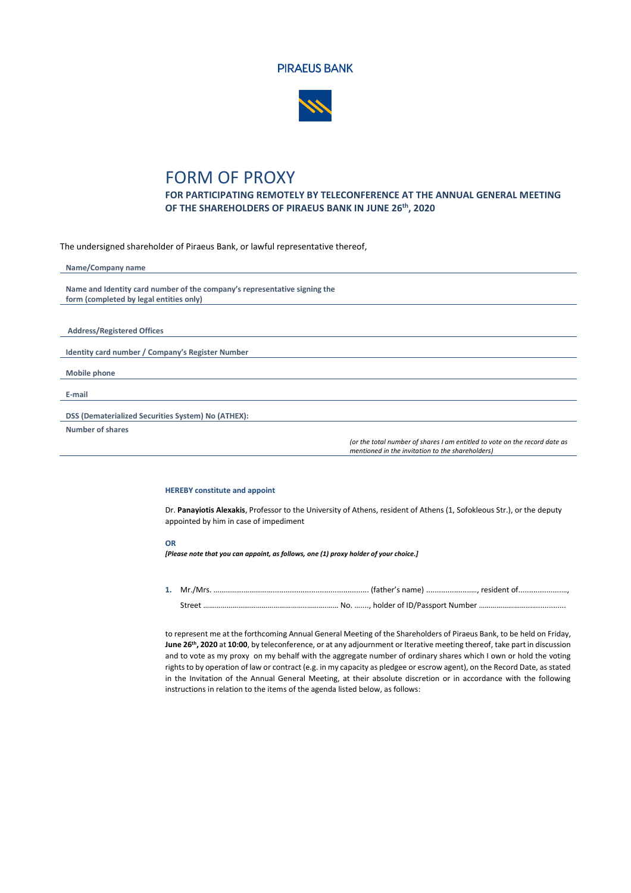



## FORM OF PROXY

**FOR PARTICIPATING REMOTELY BY TELECONFERENCE AT THE ANNUAL GENERAL MEETING OF THE SHAREHOLDERS OF PIRAEUS BANK IN JUNE 26 th, 2020**

The undersigned shareholder of Piraeus Bank, or lawful representative thereof,

| Name/Company name                                                          |
|----------------------------------------------------------------------------|
| Name and Identity card number of the company's representative signing the  |
| form (completed by legal entities only)                                    |
|                                                                            |
| <b>Address/Registered Offices</b>                                          |
| Identity card number / Company's Register Number                           |
|                                                                            |
| <b>Mobile phone</b>                                                        |
| E-mail                                                                     |
|                                                                            |
| DSS (Dematerialized Securities System) No (ATHEX):                         |
| <b>Number of shares</b>                                                    |
| los the total number of chases I am ontitled to unto an the second date as |

*(or the total number of shares I am entitled to vote on the record date as mentioned in the invitation to the shareholders)*

## **HEREBY constitute and appoint**

Dr. **Panayiotis Alexakis**, Professor to the University of Athens, resident of Athens (1, Sofokleous Str.), or the deputy appointed by him in case of impediment

## **OR**

*[Please note that you can appoint, as follows, one (1) proxy holder of your choice.]*

**1.** Mr./Mrs. …………...……………............................................. (father's name) .....................…, resident of....................…, Street ……………………………………………..……….…… No. …...., holder of ID/Passport Number ……………………..…..............

to represent me at the forthcoming Annual General Meeting of the Shareholders of Piraeus Bank, to be held on Friday, **June 26 th, 2020** at **10:00**, by teleconference, or at any adjournment or Iterative meeting thereof, take part in discussion and to vote as my proxy on my behalf with the aggregate number of ordinary shares which I own or hold the voting rights to by operation of law or contract (e.g. in my capacity as pledgee or escrow agent), on the Record Date, as stated in the Invitation of the Annual General Meeting, at their absolute discretion or in accordance with the following instructions in relation to the items of the agenda listed below, as follows: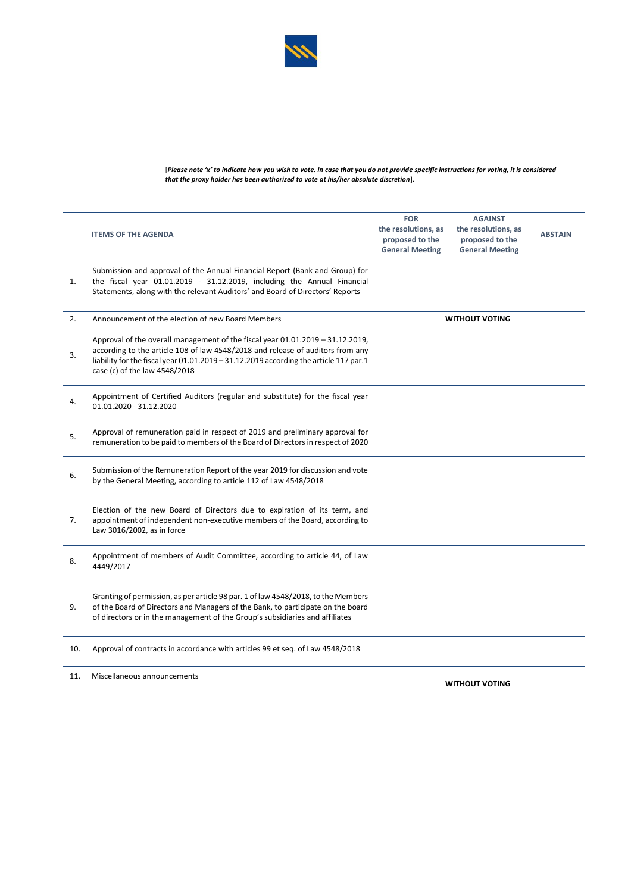

|     | <b>ITEMS OF THE AGENDA</b>                                                                                                                                                                                                                                                                 | <b>FOR</b><br>the resolutions, as<br>proposed to the<br><b>General Meeting</b> | <b>AGAINST</b><br>the resolutions, as<br>proposed to the<br><b>General Meeting</b> | <b>ABSTAIN</b> |
|-----|--------------------------------------------------------------------------------------------------------------------------------------------------------------------------------------------------------------------------------------------------------------------------------------------|--------------------------------------------------------------------------------|------------------------------------------------------------------------------------|----------------|
| 1.  | Submission and approval of the Annual Financial Report (Bank and Group) for<br>the fiscal year 01.01.2019 - 31.12.2019, including the Annual Financial<br>Statements, along with the relevant Auditors' and Board of Directors' Reports                                                    |                                                                                |                                                                                    |                |
| 2.  | Announcement of the election of new Board Members                                                                                                                                                                                                                                          | <b>WITHOUT VOTING</b>                                                          |                                                                                    |                |
| 3.  | Approval of the overall management of the fiscal year 01.01.2019 - 31.12.2019,<br>according to the article 108 of law 4548/2018 and release of auditors from any<br>liability for the fiscal year 01.01.2019 - 31.12.2019 according the article 117 par.1<br>case (c) of the law 4548/2018 |                                                                                |                                                                                    |                |
| 4.  | Appointment of Certified Auditors (regular and substitute) for the fiscal year<br>01.01.2020 - 31.12.2020                                                                                                                                                                                  |                                                                                |                                                                                    |                |
| 5.  | Approval of remuneration paid in respect of 2019 and preliminary approval for<br>remuneration to be paid to members of the Board of Directors in respect of 2020                                                                                                                           |                                                                                |                                                                                    |                |
| 6.  | Submission of the Remuneration Report of the year 2019 for discussion and vote<br>by the General Meeting, according to article 112 of Law 4548/2018                                                                                                                                        |                                                                                |                                                                                    |                |
| 7.  | Election of the new Board of Directors due to expiration of its term, and<br>appointment of independent non-executive members of the Board, according to<br>Law 3016/2002, as in force                                                                                                     |                                                                                |                                                                                    |                |
| 8.  | Appointment of members of Audit Committee, according to article 44, of Law<br>4449/2017                                                                                                                                                                                                    |                                                                                |                                                                                    |                |
| 9.  | Granting of permission, as per article 98 par. 1 of law 4548/2018, to the Members<br>of the Board of Directors and Managers of the Bank, to participate on the board<br>of directors or in the management of the Group's subsidiaries and affiliates                                       |                                                                                |                                                                                    |                |
| 10. | Approval of contracts in accordance with articles 99 et seq. of Law 4548/2018                                                                                                                                                                                                              |                                                                                |                                                                                    |                |
| 11. | Miscellaneous announcements                                                                                                                                                                                                                                                                | <b>WITHOUT VOTING</b>                                                          |                                                                                    |                |

[*Please note 'x' to indicate how you wish to vote. In case that you do not provide specific instructions for voting, it is considered that the proxy holder has been authorized to vote at his/her absolute discretion*].